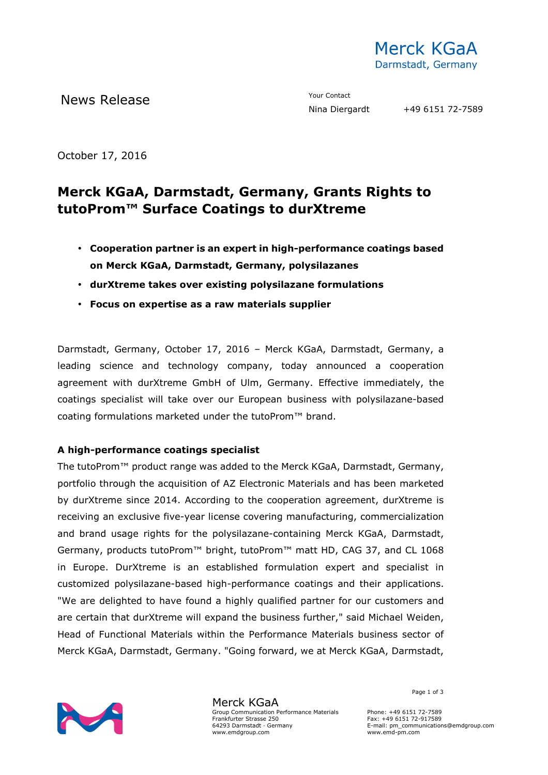

October 17, 2016

# **Merck KGaA, Darmstadt, Germany, Grants Rights to tutoProm™ Surface Coatings to durXtreme**

- **Cooperation partner is an expert in high-performance coatings based on Merck KGaA, Darmstadt, Germany, polysilazanes**
- **durXtreme takes over existing polysilazane formulations**
- **Focus on expertise as a raw materials supplier**

Darmstadt, Germany, October 17, 2016 – Merck KGaA, Darmstadt, Germany, a leading science and technology company, today announced a cooperation agreement with durXtreme GmbH of Ulm, Germany. Effective immediately, the coatings specialist will take over our European business with polysilazane-based coating formulations marketed under the tutoProm™ brand.

### **A high-performance coatings specialist**

The tutoProm™ product range was added to the Merck KGaA, Darmstadt, Germany, portfolio through the acquisition of AZ Electronic Materials and has been marketed by durXtreme since 2014. According to the cooperation agreement, durXtreme is receiving an exclusive five-year license covering manufacturing, commercialization and brand usage rights for the polysilazane-containing Merck KGaA, Darmstadt, Germany, products tutoProm™ bright, tutoProm™ matt HD, CAG 37, and CL 1068 in Europe. DurXtreme is an established formulation expert and specialist in customized polysilazane-based high-performance coatings and their applications. "We are delighted to have found a highly qualified partner for our customers and are certain that durXtreme will expand the business further," said Michael Weiden, Head of Functional Materials within the Performance Materials business sector of Merck KGaA, Darmstadt, Germany. "Going forward, we at Merck KGaA, Darmstadt,



Merck KGaA Group Communication Performance Materials Frankfurter Strasse 250 64293 Darmstadt · Germany www.emdgroup.com

Page 1 of 3

Phone: +49 6151 72-7589 Fax: +49 6151 72-917589 E-mail: pm\_communications@emdgroup.com www.emd-pm.com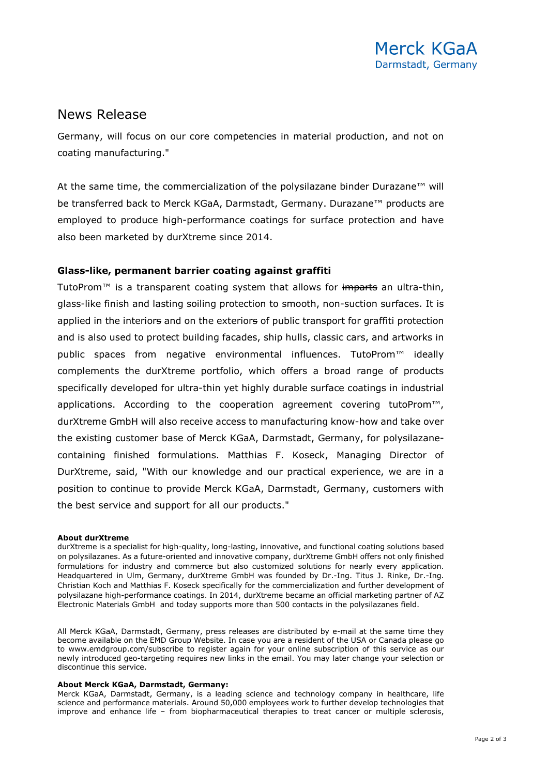## News Release

Germany, will focus on our core competencies in material production, and not on coating manufacturing."

At the same time, the commercialization of the polysilazane binder Durazane™ will be transferred back to Merck KGaA, Darmstadt, Germany. Durazane™ products are employed to produce high-performance coatings for surface protection and have also been marketed by durXtreme since 2014.

### **Glass-like, permanent barrier coating against graffiti**

TutoProm™ is a transparent coating system that allows for imparts an ultra-thin, glass-like finish and lasting soiling protection to smooth, non-suction surfaces. It is applied in the interiors and on the exteriors of public transport for graffiti protection and is also used to protect building facades, ship hulls, classic cars, and artworks in public spaces from negative environmental influences. TutoProm<sup>™</sup> ideally complements the durXtreme portfolio, which offers a broad range of products specifically developed for ultra-thin yet highly durable surface coatings in industrial applications. According to the cooperation agreement covering tutoProm $\mathbb{M}$ , durXtreme GmbH will also receive access to manufacturing know-how and take over the existing customer base of Merck KGaA, Darmstadt, Germany, for polysilazanecontaining finished formulations. Matthias F. Koseck, Managing Director of DurXtreme, said, "With our knowledge and our practical experience, we are in a position to continue to provide Merck KGaA, Darmstadt, Germany, customers with the best service and support for all our products."

#### **About durXtreme**

durXtreme is a specialist for high-quality, long-lasting, innovative, and functional coating solutions based on polysilazanes. As a future-oriented and innovative company, durXtreme GmbH offers not only finished formulations for industry and commerce but also customized solutions for nearly every application. Headquartered in Ulm, Germany, durXtreme GmbH was founded by Dr.-Ing. Titus J. Rinke, Dr.-Ing. Christian Koch and Matthias F. Koseck specifically for the commercialization and further development of polysilazane high-performance coatings. In 2014, durXtreme became an official marketing partner of AZ Electronic Materials GmbH and today supports more than 500 contacts in the polysilazanes field.

All Merck KGaA, Darmstadt, Germany, press releases are distributed by e-mail at the same time they become available on the EMD Group Website. In case you are a resident of the USA or Canada please go to www.emdgroup.com/subscribe to register again for your online subscription of this service as our newly introduced geo-targeting requires new links in the email. You may later change your selection or discontinue this service.

#### **About Merck KGaA, Darmstadt, Germany:**

Merck KGaA, Darmstadt, Germany, is a leading science and technology company in healthcare, life science and performance materials. Around 50,000 employees work to further develop technologies that improve and enhance life – from biopharmaceutical therapies to treat cancer or multiple sclerosis,